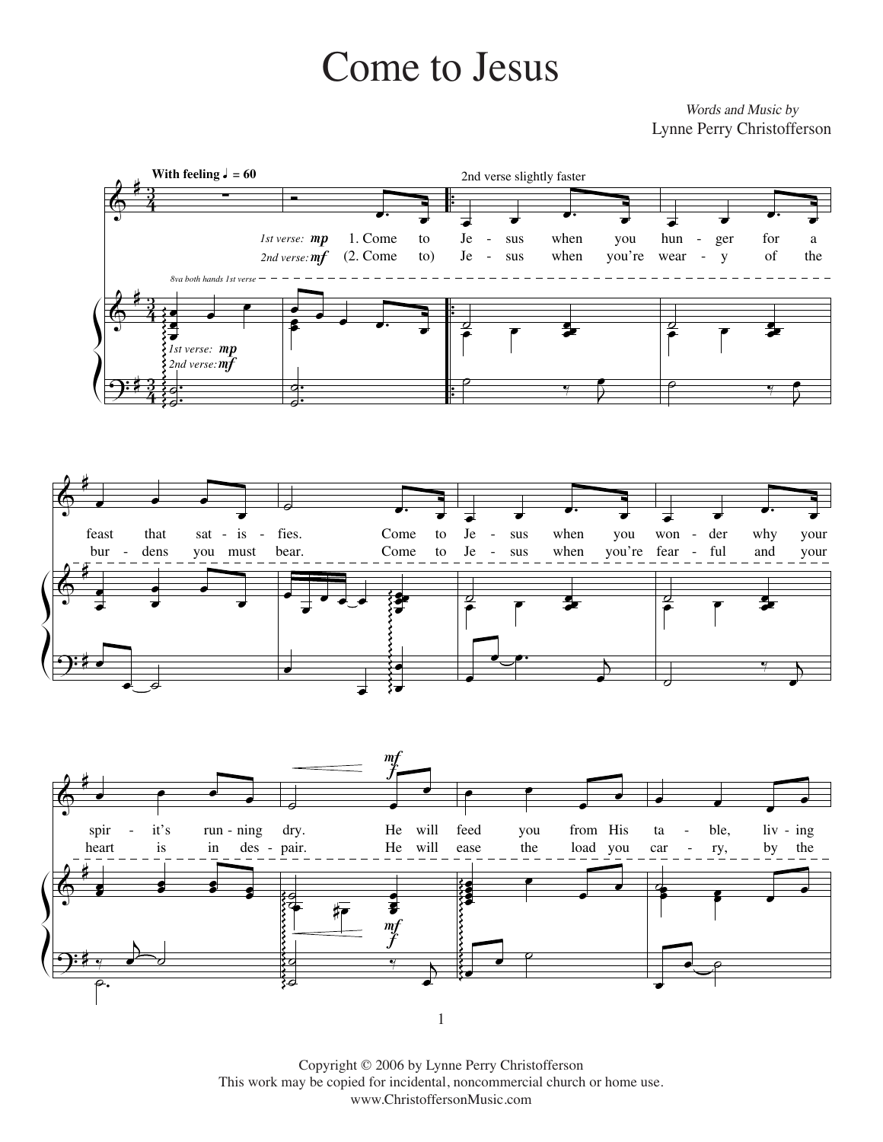## Come to Jesus Come to Jesus Come to Jesus

*Words and Music by* Words and Music by Lynne Perry Christofferson







Copyright © 2006 by Lynne Perry Christofferson C This work may be copied for incidental, noncommercial church or home use. www.ChristoffersonMusic.com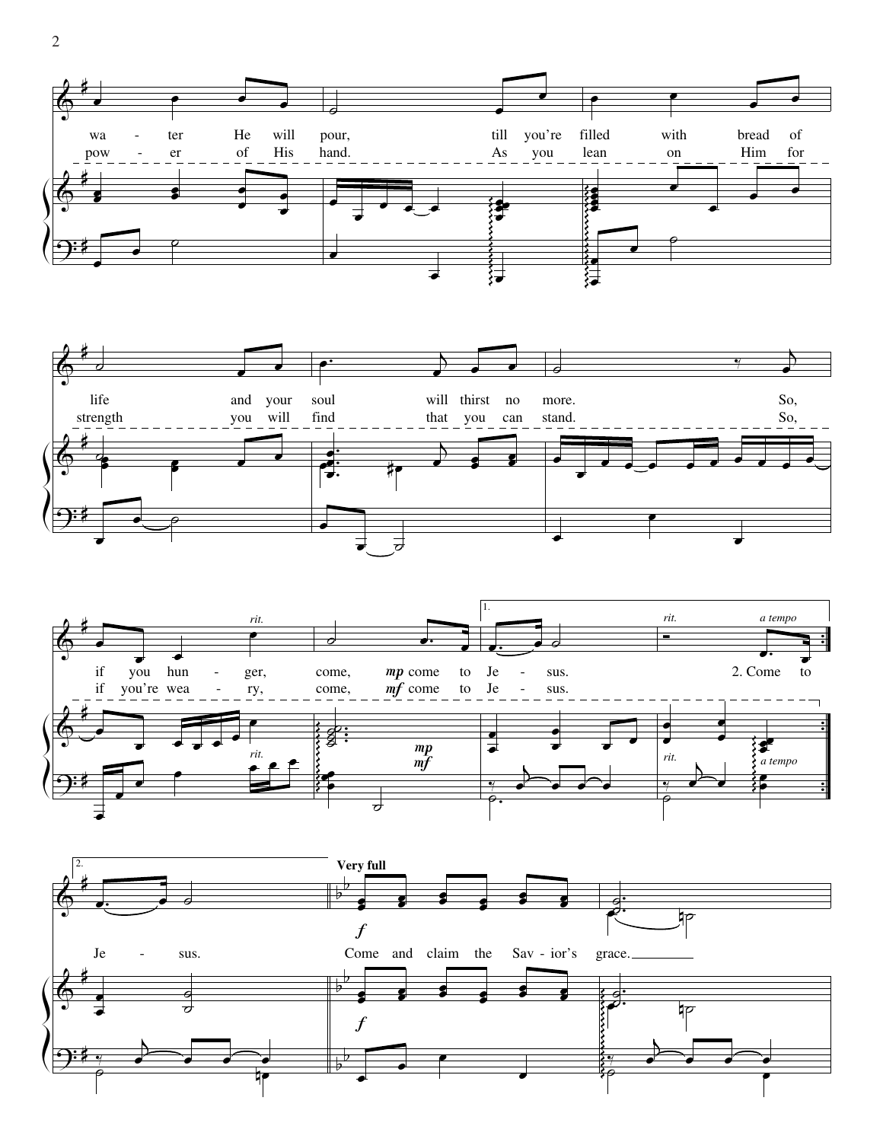







 $2\overline{ }$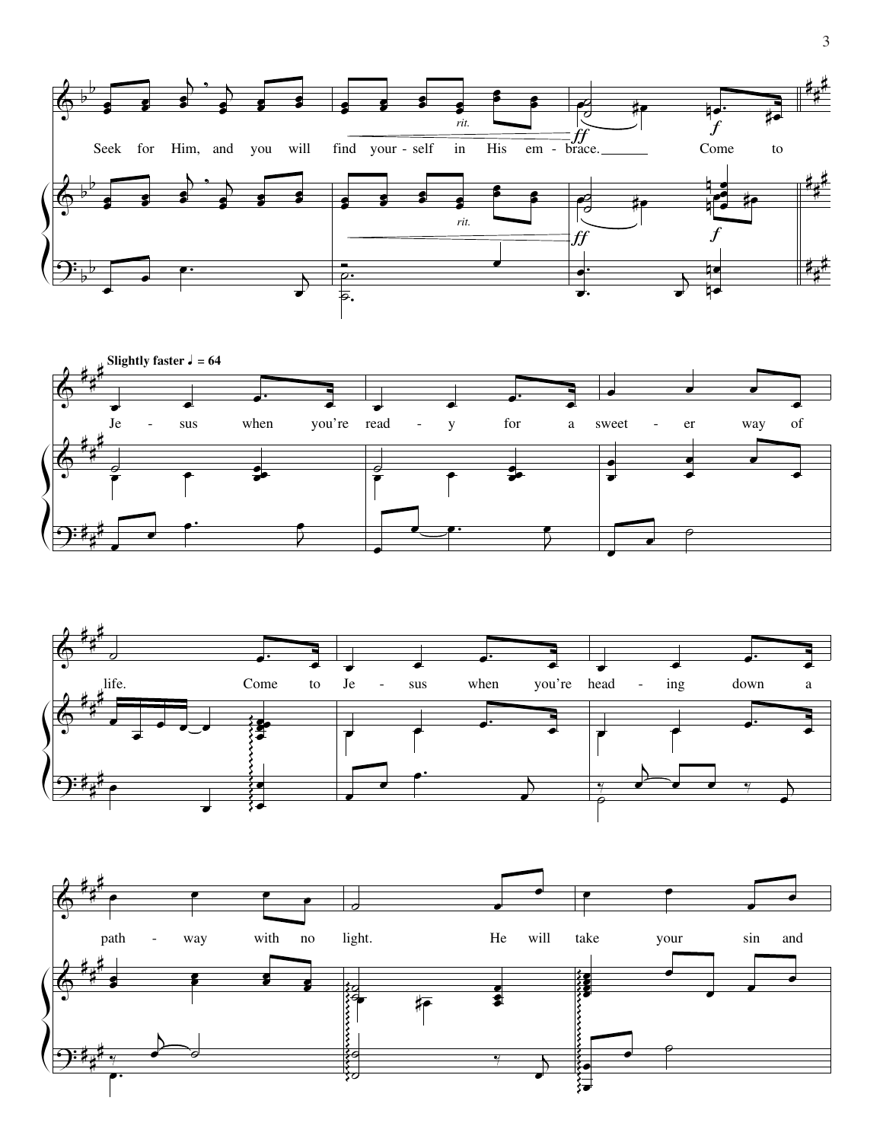